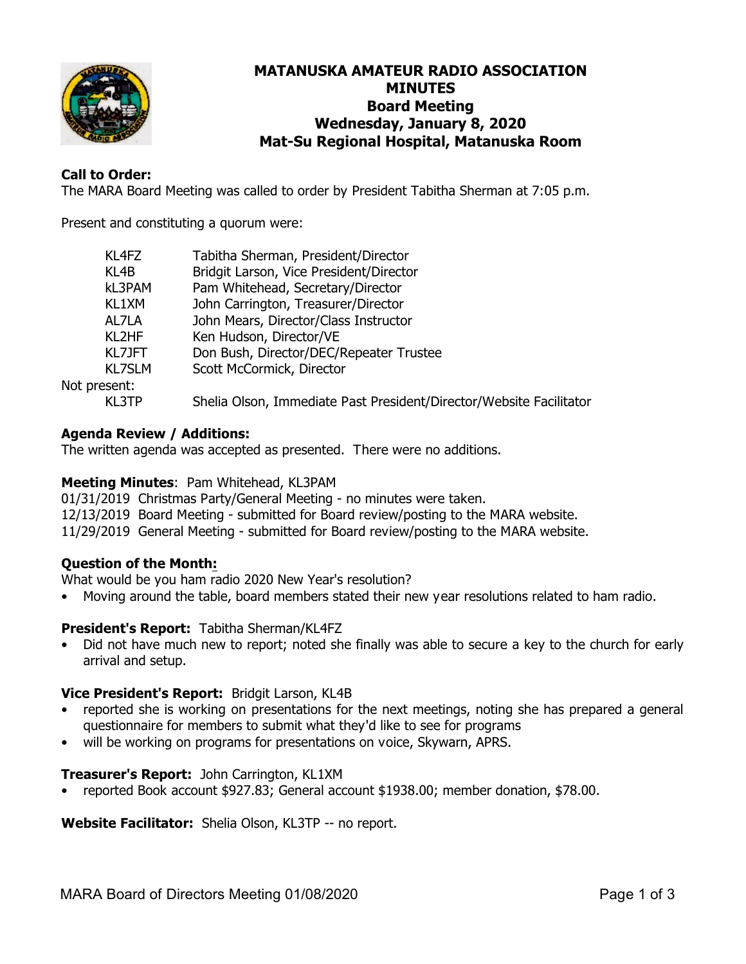

# **MATANUSKA AMATEUR RADIO ASSOCIATION MINUTES Board Meeting Wednesday, January 8, 2020 Mat-Su Regional Hospital, Matanuska Room**

# **Call to Order:**

The MARA Board Meeting was called to order by President Tabitha Sherman at 7:05 p.m.

Present and constituting a quorum were:

| Tabitha Sherman, President/Director                                 |
|---------------------------------------------------------------------|
| Bridgit Larson, Vice President/Director                             |
| Pam Whitehead, Secretary/Director                                   |
| John Carrington, Treasurer/Director                                 |
| John Mears, Director/Class Instructor                               |
| Ken Hudson, Director/VE                                             |
| Don Bush, Director/DEC/Repeater Trustee                             |
| Scott McCormick, Director                                           |
|                                                                     |
| Shelia Olson, Immediate Past President/Director/Website Facilitator |
|                                                                     |

## **Agenda Review / Additions:**

The written agenda was accepted as presented. There were no additions.

## **Meeting Minutes**: Pam Whitehead, KL3PAM

01/31/2019 Christmas Party/General Meeting - no minutes were taken. 12/13/2019 Board Meeting - submitted for Board review/posting to the MARA website. 11/29/2019 General Meeting - submitted for Board review/posting to the MARA website.

## **Question of the Month:**

What would be you ham radio 2020 New Year's resolution?

• Moving around the table, board members stated their new year resolutions related to ham radio.

## **President's Report:** Tabitha Sherman/KL4FZ

• Did not have much new to report; noted she finally was able to secure a key to the church for early arrival and setup.

## **Vice President's Report:** Bridgit Larson, KL4B

- reported she is working on presentations for the next meetings, noting she has prepared a general questionnaire for members to submit what they'd like to see for programs
- will be working on programs for presentations on voice, Skywarn, APRS.

#### **Treasurer's Report:** John Carrington, KL1XM

• reported Book account \$927.83; General account \$1938.00; member donation, \$78.00.

**Website Facilitator:** Shelia Olson, KL3TP -- no report.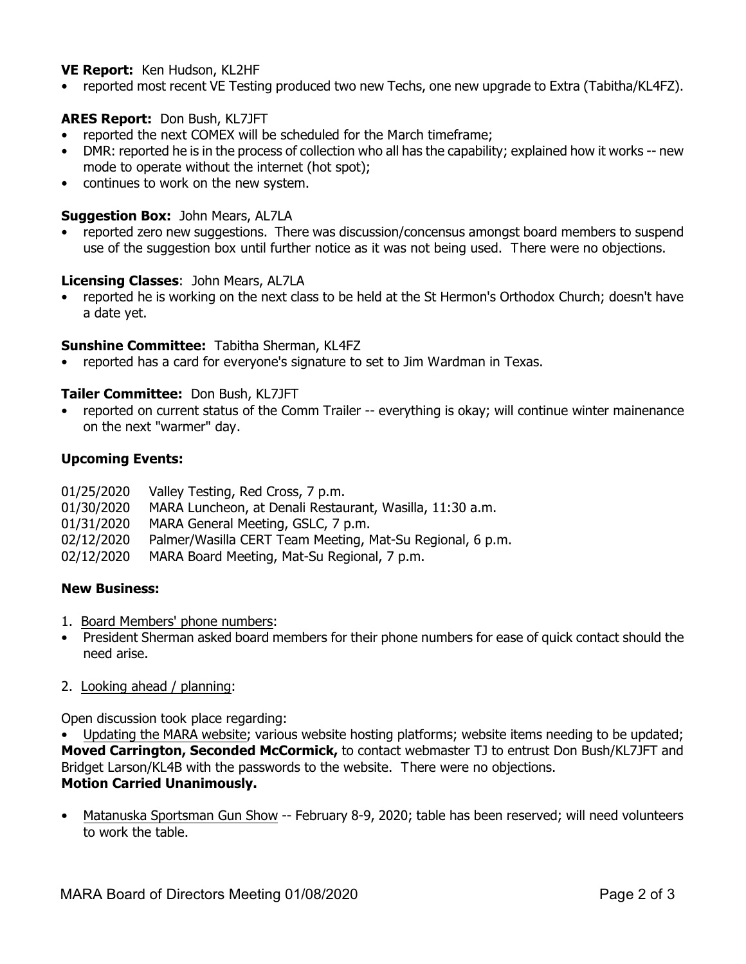## **VE Report:** Ken Hudson, KL2HF

• reported most recent VE Testing produced two new Techs, one new upgrade to Extra (Tabitha/KL4FZ).

# **ARES Report:** Don Bush, KL7JFT

- reported the next COMEX will be scheduled for the March timeframe;
- DMR: reported he is in the process of collection who all has the capability; explained how it works -- new mode to operate without the internet (hot spot);
- continues to work on the new system.

#### **Suggestion Box:** John Mears, AL7LA

• reported zero new suggestions. There was discussion/concensus amongst board members to suspend use of the suggestion box until further notice as it was not being used. There were no objections.

#### **Licensing Classes**: John Mears, AL7LA

• reported he is working on the next class to be held at the St Hermon's Orthodox Church; doesn't have a date yet.

#### **Sunshine Committee:** Tabitha Sherman, KL4FZ

• reported has a card for everyone's signature to set to Jim Wardman in Texas.

## **Tailer Committee:** Don Bush, KL7JFT

• reported on current status of the Comm Trailer -- everything is okay; will continue winter mainenance on the next "warmer" day.

#### **Upcoming Events:**

- 01/25/2020 Valley Testing, Red Cross, 7 p.m.
- 01/30/2020 MARA Luncheon, at Denali Restaurant, Wasilla, 11:30 a.m.
- 01/31/2020 MARA General Meeting, GSLC, 7 p.m.
- 02/12/2020 Palmer/Wasilla CERT Team Meeting, Mat-Su Regional, 6 p.m.
- 02/12/2020 MARA Board Meeting, Mat-Su Regional, 7 p.m.

#### **New Business:**

- 1. Board Members' phone numbers:
- President Sherman asked board members for their phone numbers for ease of quick contact should the need arise.
- 2. Looking ahead / planning:

Open discussion took place regarding:

• Updating the MARA website; various website hosting platforms; website items needing to be updated; **Moved Carrington, Seconded McCormick,** to contact webmaster TJ to entrust Don Bush/KL7JFT and Bridget Larson/KL4B with the passwords to the website. There were no objections. **Motion Carried Unanimously.**

• Matanuska Sportsman Gun Show -- February 8-9, 2020; table has been reserved; will need volunteers to work the table.